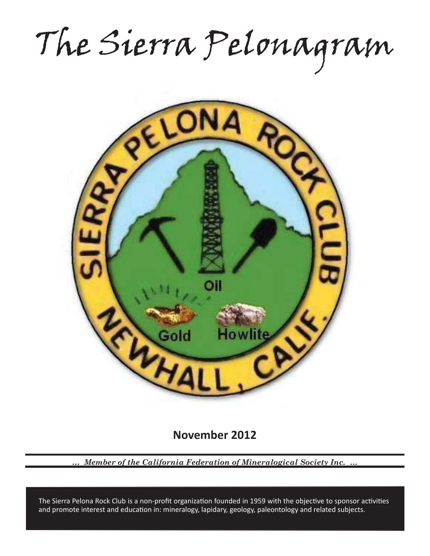The Sierra Pelonagram



**November 2012**

*… Member of the California Federation of Mineralogical Society Inc. …*

and promote interest and education in: mineralogy, lapidary, geology, paleontology and related subjects. The Sierra Pelona Rock Club is a non-profit organization founded in 1959 with the objective to sponsor activities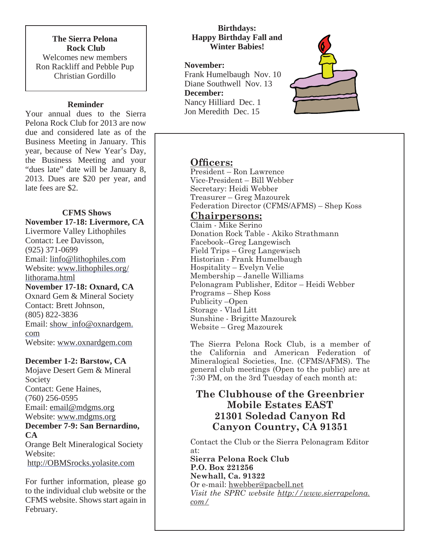**The Sierra Pelona Rock Club** Welcomes new members Ron Rackliff and Pebble Pup Christian Gordillo

## **Reminder**

Your annual dues to the Sierra Pelona Rock Club for 2013 are now due and considered late as of the Business Meeting in January. This year, because of New Year's Day, the Business Meeting and your "dues late" date will be January 8, 2013. Dues are \$20 per year, and late fees are \$2.

# **CFMS Shows November 17-18: Livermore, CA**

Livermore Valley Lithophiles Contact: Lee Davisson, (925) 371-0699 Email: linfo@lithophiles.com Website: www.lithophiles.org/ lithorama.html **November 17-18: Oxnard, CA** Oxnard Gem & Mineral Society Contact: Brett Johnson, (805) 822-3836 Email: show\_info@oxnardgem. com Website: www.oxnardgem.com

**December 1-2: Barstow, CA**

Mojave Desert Gem & Mineral Society Contact: Gene Haines, (760) 256-0595 Email: email@mdgms.org Website: www.mdgms.org **December 7-9: San Bernardino, CA** Orange Belt Mineralogical Society Website:

http://OBMSrocks.yolasite.com

For further information, please go to the individual club website or the CFMS website. Shows start again in February.

## **Birthdays: Happy Birthday Fall and Winter Babies!**

# **November:**

Frank Humelbaugh Nov. 10 Diane Southwell Nov. 13 **December:** Nancy Hilliard Dec. 1 Jon Meredith Dec. 15



# **Officers:**

President – Ron Lawrence Vice-President – Bill Webber Secretary: Heidi Webber Treasurer – Greg Mazourek Federation Director (CFMS/AFMS) – Shep Koss

# **Chairpersons:**

Claim - Mike Serino Donation Rock Table - Akiko Strathmann Facebook--Greg Langewisch Field Trips – Greg Langewisch Historian - Frank Humelbaugh Hospitality – Evelyn Velie Membership – Janelle Williams Pelonagram Publisher, Editor – Heidi Webber Programs – Shep Koss Publicity –Open Storage - Vlad Litt Sunshine - Brigitte Mazourek Website – Greg Mazourek

The Sierra Pelona Rock Club, is a member of the California and American Federation of Mineralogical Societies, Inc. (CFMS/AFMS). The general club meetings (Open to the public) are at 7:30 PM, on the 3rd Tuesday of each month at:

# **The Clubhouse of the Greenbrier Mobile Estates EAST 21301 Soledad Canyon Rd Canyon Country, CA 91351**

Contact the Club or the Sierra Pelonagram Editor at:

**Sierra Pelona Rock Club P.O. Box 221256 Newhall, Ca. 91322** Or e-mail: hwebber@pacbell.net *Visit the SPRC website http://www.sierrapelona. com/*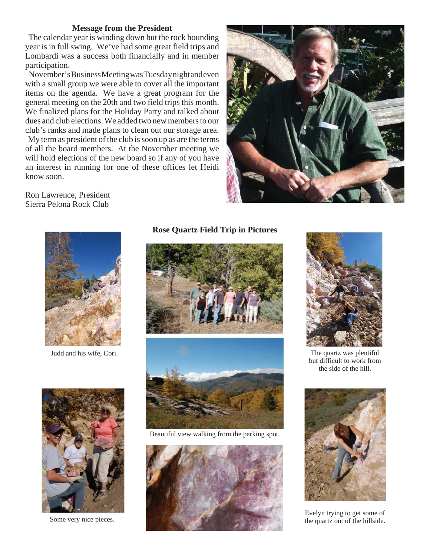#### **Message from the President**

 The calendar year is winding down but the rock hounding year is in full swing. We've had some great field trips and Lombardi was a success both financially and in member participation.

 November's Business Meeting was Tuesday night and even with a small group we were able to cover all the important items on the agenda. We have a great program for the general meeting on the 20th and two field trips this month. We finalized plans for the Holiday Party and talked about dues and club elections. We added two new members to our club's ranks and made plans to clean out our storage area. My term as president of the club is soon up as are the terms of all the board members. At the November meeting we will hold elections of the new board so if any of you have an interest in running for one of these offices let Heidi know soon.



Ron Lawrence, President Sierra Pelona Rock Club



Judd and his wife, Cori.

#### **Rose Quartz Field Trip in Pictures**





Beautiful view walking from the parking spot.





The quartz was plentiful but difficult to work from the side of the hill.



Evelyn trying to get some of

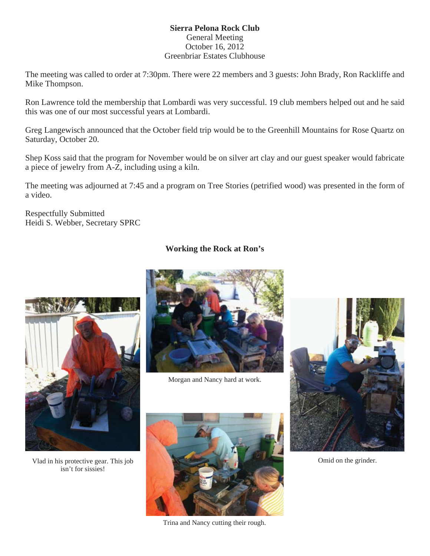## **Sierra Pelona Rock Club** General Meeting October 16, 2012 Greenbriar Estates Clubhouse

The meeting was called to order at 7:30pm. There were 22 members and 3 guests: John Brady, Ron Rackliffe and Mike Thompson.

Ron Lawrence told the membership that Lombardi was very successful. 19 club members helped out and he said this was one of our most successful years at Lombardi.

Greg Langewisch announced that the October field trip would be to the Greenhill Mountains for Rose Quartz on Saturday, October 20.

Shep Koss said that the program for November would be on silver art clay and our guest speaker would fabricate a piece of jewelry from A-Z, including using a kiln.

The meeting was adjourned at 7:45 and a program on Tree Stories (petrified wood) was presented in the form of a video.

Respectfully Submitted Heidi S. Webber, Secretary SPRC

# **Working the Rock at Ron's**



Vlad in his protective gear. This job isn't for sissies!



Morgan and Nancy hard at work.



Omid on the grinder.



Trina and Nancy cutting their rough.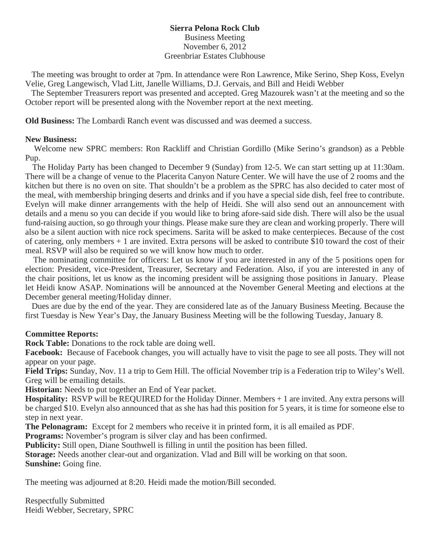## **Sierra Pelona Rock Club** Business Meeting November 6, 2012 Greenbriar Estates Clubhouse

 The meeting was brought to order at 7pm. In attendance were Ron Lawrence, Mike Serino, Shep Koss, Evelyn Velie, Greg Langewisch, Vlad Litt, Janelle Williams, D.J. Gervais, and Bill and Heidi Webber

 The September Treasurers report was presented and accepted. Greg Mazourek wasn't at the meeting and so the October report will be presented along with the November report at the next meeting.

**Old Business:** The Lombardi Ranch event was discussed and was deemed a success.

#### **New Business:**

 Welcome new SPRC members: Ron Rackliff and Christian Gordillo (Mike Serino's grandson) as a Pebble Pup.

 The Holiday Party has been changed to December 9 (Sunday) from 12-5. We can start setting up at 11:30am. There will be a change of venue to the Placerita Canyon Nature Center. We will have the use of 2 rooms and the kitchen but there is no oven on site. That shouldn't be a problem as the SPRC has also decided to cater most of the meal, with membership bringing deserts and drinks and if you have a special side dish, feel free to contribute. Evelyn will make dinner arrangements with the help of Heidi. She will also send out an announcement with details and a menu so you can decide if you would like to bring afore-said side dish. There will also be the usual fund-raising auction, so go through your things. Please make sure they are clean and working properly. There will also be a silent auction with nice rock specimens. Sarita will be asked to make centerpieces. Because of the cost of catering, only members + 1 are invited. Extra persons will be asked to contribute \$10 toward the cost of their meal. RSVP will also be required so we will know how much to order.

 The nominating committee for officers: Let us know if you are interested in any of the 5 positions open for election: President, vice-President, Treasurer, Secretary and Federation. Also, if you are interested in any of the chair positions, let us know as the incoming president will be assigning those positions in January. Please let Heidi know ASAP. Nominations will be announced at the November General Meeting and elections at the December general meeting/Holiday dinner.

 Dues are due by the end of the year. They are considered late as of the January Business Meeting. Because the first Tuesday is New Year's Day, the January Business Meeting will be the following Tuesday, January 8.

## **Committee Reports:**

**Rock Table:** Donations to the rock table are doing well.

**Facebook:** Because of Facebook changes, you will actually have to visit the page to see all posts. They will not appear on your page.

**Field Trips:** Sunday, Nov. 11 a trip to Gem Hill. The official November trip is a Federation trip to Wiley's Well. Greg will be emailing details.

**Historian:** Needs to put together an End of Year packet.

**Hospitality:** RSVP will be REQUIRED for the Holiday Dinner. Members + 1 are invited. Any extra persons will be charged \$10. Evelyn also announced that as she has had this position for 5 years, it is time for someone else to step in next year.

**The Pelonagram:** Except for 2 members who receive it in printed form, it is all emailed as PDF.

**Programs:** November's program is silver clay and has been confirmed.

**Publicity:** Still open, Diane Southwell is filling in until the position has been filled.

**Storage:** Needs another clear-out and organization. Vlad and Bill will be working on that soon. **Sunshine:** Going fine.

The meeting was adjourned at 8:20. Heidi made the motion/Bill seconded.

Respectfully Submitted Heidi Webber, Secretary, SPRC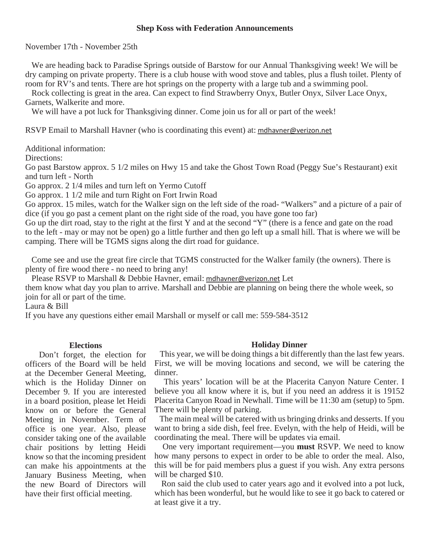#### **Shep Koss with Federation Announcements**

November 17th - November 25th

 We are heading back to Paradise Springs outside of Barstow for our Annual Thanksgiving week! We will be dry camping on private property. There is a club house with wood stove and tables, plus a flush toilet. Plenty of room for RV's and tents. There are hot springs on the property with a large tub and a swimming pool.

 Rock collecting is great in the area. Can expect to find Strawberry Onyx, Butler Onyx, Silver Lace Onyx, Garnets, Walkerite and more.

We will have a pot luck for Thanksgiving dinner. Come join us for all or part of the week!

RSVP Email to Marshall Havner (who is coordinating this event) at: mdhavner@verizon.net

Additional information:

Directions:

Go past Barstow approx. 5 1/2 miles on Hwy 15 and take the Ghost Town Road (Peggy Sue's Restaurant) exit and turn left - North

Go approx. 2 1/4 miles and turn left on Yermo Cutoff

Go approx. 1 1/2 mile and turn Right on Fort Irwin Road

Go approx. 15 miles, watch for the Walker sign on the left side of the road- "Walkers" and a picture of a pair of dice (if you go past a cement plant on the right side of the road, you have gone too far)

Go up the dirt road, stay to the right at the first Y and at the second "Y" (there is a fence and gate on the road to the left - may or may not be open) go a little further and then go left up a small hill. That is where we will be camping. There will be TGMS signs along the dirt road for guidance.

 Come see and use the great fire circle that TGMS constructed for the Walker family (the owners). There is plenty of fire wood there - no need to bring any!

Please RSVP to Marshall & Debbie Havner, email: mdhavner@verizon.net Let

them know what day you plan to arrive. Marshall and Debbie are planning on being there the whole week, so join for all or part of the time.

Laura & Bill

If you have any questions either email Marshall or myself or call me: 559-584-3512

#### **Elections**

 Don't forget, the election for officers of the Board will be held at the December General Meeting, which is the Holiday Dinner on December 9. If you are interested in a board position, please let Heidi know on or before the General Meeting in November. Term of office is one year. Also, please consider taking one of the available chair positions by letting Heidi know so that the incoming president can make his appointments at the January Business Meeting, when the new Board of Directors will have their first official meeting.

#### **Holiday Dinner**

 This year, we will be doing things a bit differently than the last few years. First, we will be moving locations and second, we will be catering the dinner.

 This years' location will be at the Placerita Canyon Nature Center. I believe you all know where it is, but if you need an address it is 19152 Placerita Canyon Road in Newhall. Time will be 11:30 am (setup) to 5pm. There will be plenty of parking.

 The main meal will be catered with us bringing drinks and desserts. If you want to bring a side dish, feel free. Evelyn, with the help of Heidi, will be coordinating the meal. There will be updates via email.

 One very important requirement—you **must** RSVP. We need to know how many persons to expect in order to be able to order the meal. Also, this will be for paid members plus a guest if you wish. Any extra persons will be charged \$10.

 Ron said the club used to cater years ago and it evolved into a pot luck, which has been wonderful, but he would like to see it go back to catered or at least give it a try.